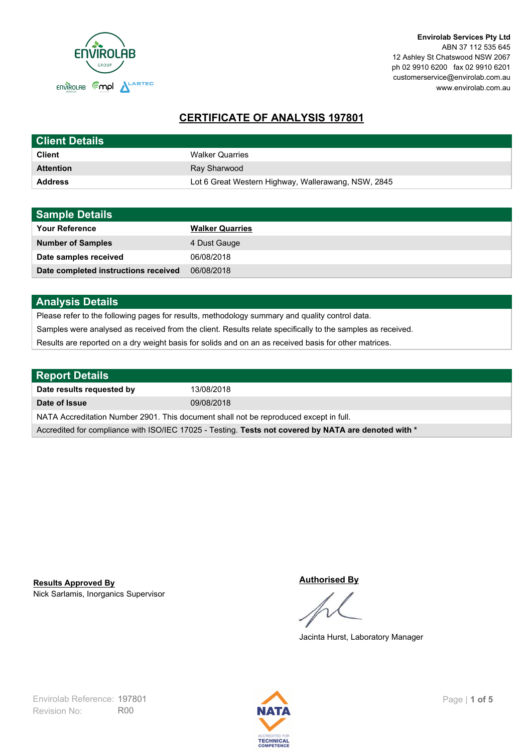

# **CERTIFICATE OF ANALYSIS 197801**

| <b>Client Details</b> |                                                     |
|-----------------------|-----------------------------------------------------|
| <b>Client</b>         | <b>Walker Quarries</b>                              |
| <b>Attention</b>      | Ray Sharwood                                        |
| <b>Address</b>        | Lot 6 Great Western Highway, Wallerawang, NSW, 2845 |

| <b>Sample Details</b>                |                        |
|--------------------------------------|------------------------|
| <b>Your Reference</b>                | <b>Walker Quarries</b> |
| <b>Number of Samples</b>             | 4 Dust Gauge           |
| Date samples received                | 06/08/2018             |
| Date completed instructions received | 06/08/2018             |

## **Analysis Details**

Please refer to the following pages for results, methodology summary and quality control data.

Samples were analysed as received from the client. Results relate specifically to the samples as received.

Results are reported on a dry weight basis for solids and on an as received basis for other matrices.

| <b>Report Details</b>                                                                                |            |  |
|------------------------------------------------------------------------------------------------------|------------|--|
| Date results requested by                                                                            | 13/08/2018 |  |
| Date of Issue                                                                                        | 09/08/2018 |  |
| NATA Accreditation Number 2901. This document shall not be reproduced except in full.                |            |  |
| Accredited for compliance with ISO/IEC 17025 - Testing. Tests not covered by NATA are denoted with * |            |  |

Nick Sarlamis, Inorganics Supervisor **Results Approved By**

#### **Authorised By**

Jacinta Hurst, Laboratory Manager

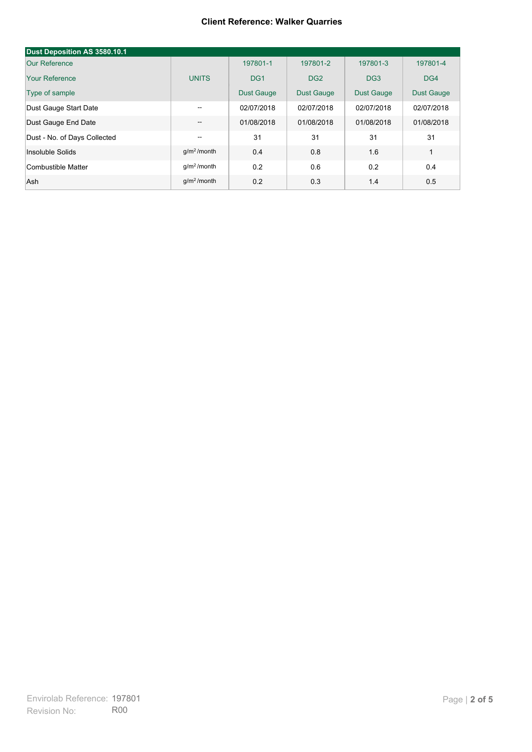#### **Client Reference: Walker Quarries**

| Dust Deposition AS 3580.10.1 |                         |                   |                   |                   |                   |
|------------------------------|-------------------------|-------------------|-------------------|-------------------|-------------------|
| Our Reference                |                         | 197801-1          | 197801-2          | 197801-3          | 197801-4          |
| Your Reference               | <b>UNITS</b>            | DG <sub>1</sub>   | DG <sub>2</sub>   | DG <sub>3</sub>   | DG4               |
| Type of sample               |                         | <b>Dust Gauge</b> | <b>Dust Gauge</b> | <b>Dust Gauge</b> | <b>Dust Gauge</b> |
| Dust Gauge Start Date        | $- -$                   | 02/07/2018        | 02/07/2018        | 02/07/2018        | 02/07/2018        |
| Dust Gauge End Date          | --                      | 01/08/2018        | 01/08/2018        | 01/08/2018        | 01/08/2018        |
| Dust - No. of Days Collected | --                      | 31                | 31                | 31                | 31                |
| Insoluble Solids             | $q/m2$ /month           | 0.4               | 0.8               | 1.6               | $\mathbf{1}$      |
| Combustible Matter           | q/m <sup>2</sup> /month | 0.2               | 0.6               | 0.2               | 0.4               |
| Ash                          | $q/m2$ /month           | 0.2               | 0.3               | 1.4               | 0.5               |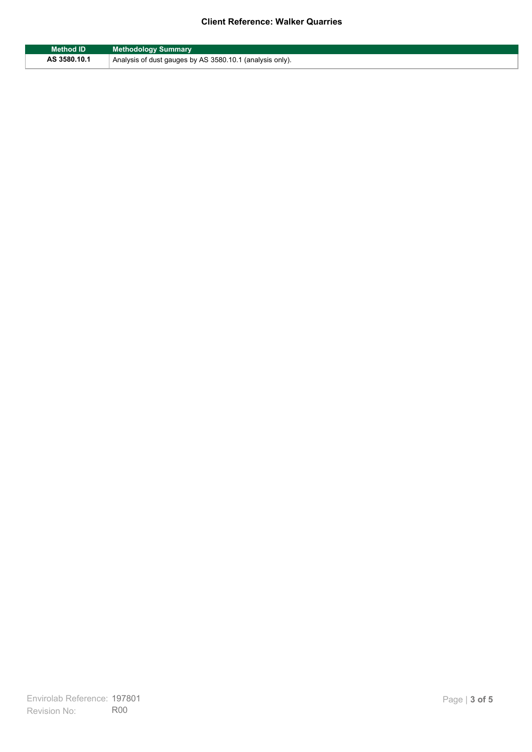### **Client Reference: Walker Quarries**

| Method ID    | <b>Methodology Summary</b>                               |
|--------------|----------------------------------------------------------|
| AS 3580.10.1 | Analysis of dust gauges by AS 3580.10.1 (analysis only). |

F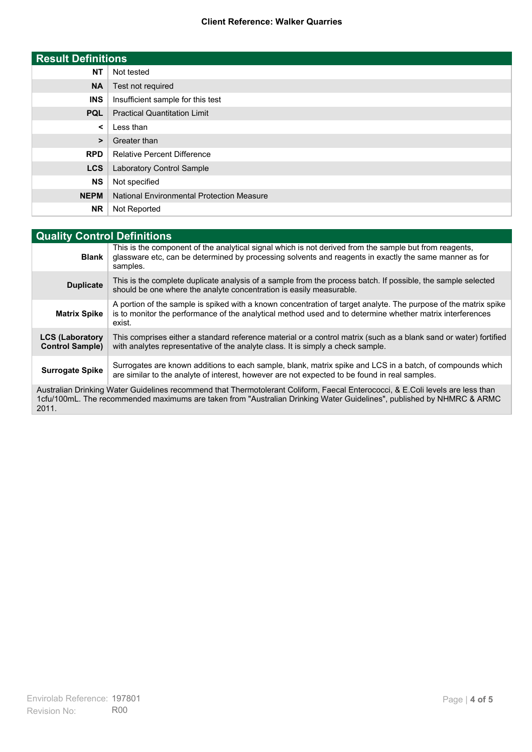### **Client Reference: Walker Quarries**

| <b>Result Definitions</b> |                                                  |
|---------------------------|--------------------------------------------------|
| <b>NT</b>                 | Not tested                                       |
| <b>NA</b>                 | Test not required                                |
| <b>INS</b>                | Insufficient sample for this test                |
| <b>PQL</b>                | <b>Practical Quantitation Limit</b>              |
| $\prec$                   | Less than                                        |
| $\geq$                    | Greater than                                     |
| <b>RPD</b>                | <b>Relative Percent Difference</b>               |
| <b>LCS</b>                | Laboratory Control Sample                        |
| <b>NS</b>                 | Not specified                                    |
| <b>NEPM</b>               | <b>National Environmental Protection Measure</b> |
| <b>NR</b>                 | Not Reported                                     |

| <b>Quality Control Definitions</b>                                                                                                                                                                                                                      |                                                                                                                                                                                                                                        |  |
|---------------------------------------------------------------------------------------------------------------------------------------------------------------------------------------------------------------------------------------------------------|----------------------------------------------------------------------------------------------------------------------------------------------------------------------------------------------------------------------------------------|--|
| <b>Blank</b>                                                                                                                                                                                                                                            | This is the component of the analytical signal which is not derived from the sample but from reagents.<br>glassware etc, can be determined by processing solvents and reagents in exactly the same manner as for<br>samples.           |  |
| <b>Duplicate</b>                                                                                                                                                                                                                                        | This is the complete duplicate analysis of a sample from the process batch. If possible, the sample selected<br>should be one where the analyte concentration is easily measurable.                                                    |  |
| <b>Matrix Spike</b>                                                                                                                                                                                                                                     | A portion of the sample is spiked with a known concentration of target analyte. The purpose of the matrix spike<br>is to monitor the performance of the analytical method used and to determine whether matrix interferences<br>exist. |  |
| <b>LCS (Laboratory</b><br><b>Control Sample)</b>                                                                                                                                                                                                        | This comprises either a standard reference material or a control matrix (such as a blank sand or water) fortified<br>with analytes representative of the analyte class. It is simply a check sample.                                   |  |
| <b>Surrogate Spike</b>                                                                                                                                                                                                                                  | Surrogates are known additions to each sample, blank, matrix spike and LCS in a batch, of compounds which<br>are similar to the analyte of interest, however are not expected to be found in real samples.                             |  |
| Australian Drinking Water Guidelines recommend that Thermotolerant Coliform, Faecal Enterococci, & E.Coli levels are less than<br>1cfu/100mL. The recommended maximums are taken from "Australian Drinking Water Guidelines", published by NHMRC & ARMC |                                                                                                                                                                                                                                        |  |

2011.